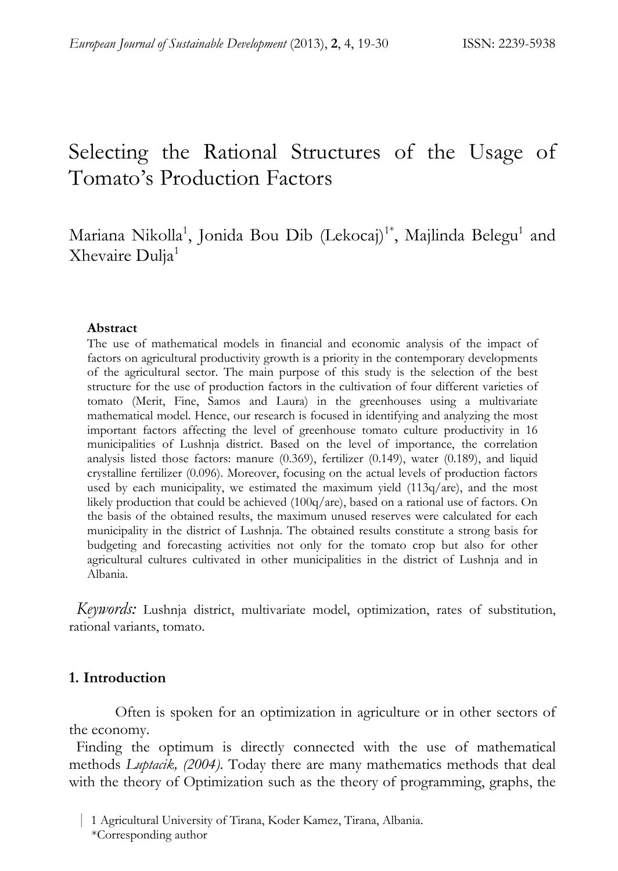# Selecting the Rational Structures of the Usage of Tomato's Production Factors

# Mariana Nikolla<sup>1</sup>, Jonida Bou Dib (Lekocaj)<sup>1\*</sup>, Majlinda Belegu<sup>1</sup> and Xhevaire Dulja<sup>1</sup>

#### **Abstract**

The use of mathematical models in financial and economic analysis of the impact of factors on agricultural productivity growth is a priority in the contemporary developments of the agricultural sector. The main purpose of this study is the selection of the best structure for the use of production factors in the cultivation of four different varieties of tomato (Merit, Fine, Samos and Laura) in the greenhouses using a multivariate mathematical model. Hence, our research is focused in identifying and analyzing the most important factors affecting the level of greenhouse tomato culture productivity in 16 municipalities of Lushnja district. Based on the level of importance, the correlation analysis listed those factors: manure (0.369), fertilizer (0.149), water (0.189), and liquid crystalline fertilizer (0.096). Moreover, focusing on the actual levels of production factors used by each municipality, we estimated the maximum yield  $(113q/are)$ , and the most likely production that could be achieved (100q/are), based on a rational use of factors. On the basis of the obtained results, the maximum unused reserves were calculated for each municipality in the district of Lushnja. The obtained results constitute a strong basis for budgeting and forecasting activities not only for the tomato crop but also for other agricultural cultures cultivated in other municipalities in the district of Lushnja and in Albania.

*Keywords:* Lushnja district, multivariate model, optimization, rates of substitution, rational variants, tomato.

# **1. Introduction**

Often is spoken for an optimization in agriculture or in other sectors of the economy.

Finding the optimum is directly connected with the use of mathematical methods *Luptacik, (2004)*. Today there are many mathematics methods that deal with the theory of Optimization such as the theory of programming, graphs, the

 <sup>|</sup> 1 Agricultural University of Tirana, Koder Kamez, Tirana, Albania. \*Corresponding author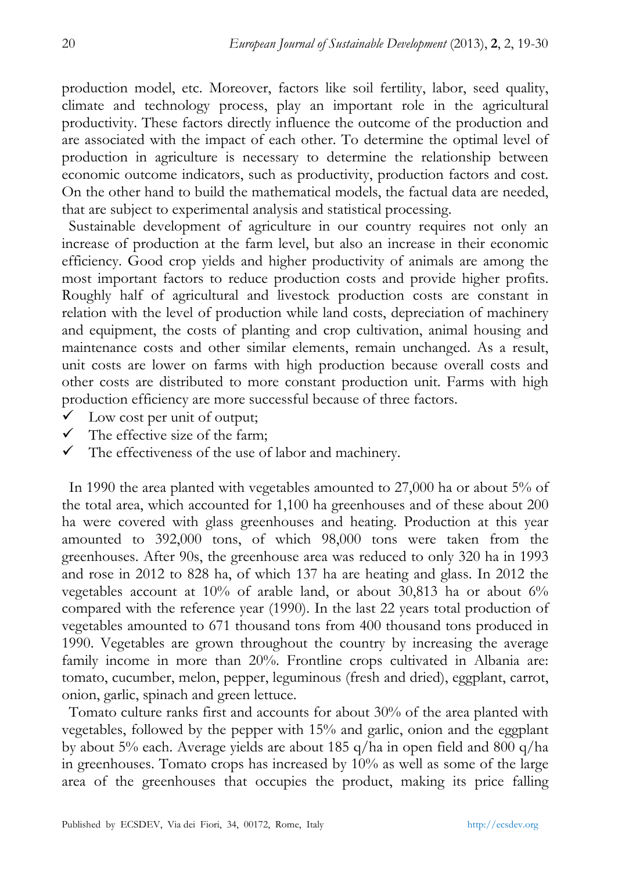production model, etc. Moreover, factors like soil fertility, labor, seed quality, climate and technology process, play an important role in the agricultural productivity. These factors directly influence the outcome of the production and are associated with the impact of each other. To determine the optimal level of production in agriculture is necessary to determine the relationship between economic outcome indicators, such as productivity, production factors and cost. On the other hand to build the mathematical models, the factual data are needed, that are subject to experimental analysis and statistical processing.

Sustainable development of agriculture in our country requires not only an increase of production at the farm level, but also an increase in their economic efficiency. Good crop yields and higher productivity of animals are among the most important factors to reduce production costs and provide higher profits. Roughly half of agricultural and livestock production costs are constant in relation with the level of production while land costs, depreciation of machinery and equipment, the costs of planting and crop cultivation, animal housing and maintenance costs and other similar elements, remain unchanged. As a result, unit costs are lower on farms with high production because overall costs and other costs are distributed to more constant production unit. Farms with high production efficiency are more successful because of three factors.

- $\checkmark$  Low cost per unit of output;
- $\checkmark$  The effective size of the farm:
- $\checkmark$  The effectiveness of the use of labor and machinery.

In 1990 the area planted with vegetables amounted to 27,000 ha or about 5% of the total area, which accounted for 1,100 ha greenhouses and of these about 200 ha were covered with glass greenhouses and heating. Production at this year amounted to 392,000 tons, of which 98,000 tons were taken from the greenhouses. After 90s, the greenhouse area was reduced to only 320 ha in 1993 and rose in 2012 to 828 ha, of which 137 ha are heating and glass. In 2012 the vegetables account at 10% of arable land, or about 30,813 ha or about 6% compared with the reference year (1990). In the last 22 years total production of vegetables amounted to 671 thousand tons from 400 thousand tons produced in 1990. Vegetables are grown throughout the country by increasing the average family income in more than 20%. Frontline crops cultivated in Albania are: tomato, cucumber, melon, pepper, leguminous (fresh and dried), eggplant, carrot, onion, garlic, spinach and green lettuce.

Tomato culture ranks first and accounts for about 30% of the area planted with vegetables, followed by the pepper with 15% and garlic, onion and the eggplant by about 5% each. Average yields are about 185 q/ha in open field and 800 q/ha in greenhouses. Tomato crops has increased by 10% as well as some of the large area of the greenhouses that occupies the product, making its price falling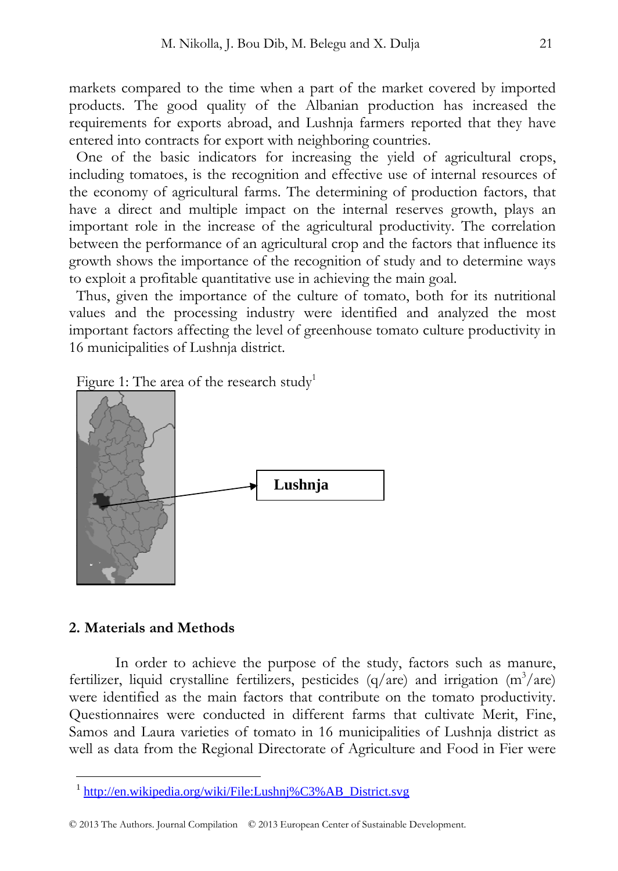markets compared to the time when a part of the market covered by imported products. The good quality of the Albanian production has increased the requirements for exports abroad, and Lushnja farmers reported that they have entered into contracts for export with neighboring countries.

One of the basic indicators for increasing the yield of agricultural crops, including tomatoes, is the recognition and effective use of internal resources of the economy of agricultural farms. The determining of production factors, that have a direct and multiple impact on the internal reserves growth, plays an important role in the increase of the agricultural productivity. The correlation between the performance of an agricultural crop and the factors that influence its growth shows the importance of the recognition of study and to determine ways to exploit a profitable quantitative use in achieving the main goal.

Thus, given the importance of the culture of tomato, both for its nutritional values and the processing industry were identified and analyzed the most important factors affecting the level of greenhouse tomato culture productivity in 16 municipalities of Lushnja district.

| Figure 1: The area of the research study |  |  |  |  |  |
|------------------------------------------|--|--|--|--|--|
|------------------------------------------|--|--|--|--|--|



#### 2. Materials and Methods

In order to achieve the purpose of the study, factors such as manure, fertilizer, liquid crystalline fertilizers, pesticides (q/are) and irrigation (m<sup>3</sup>/are) were identified as the main factors that contribute on the tomato productivity. Questionnaires were conducted in different farms that cultivate Merit, Fine, Samos and Laura varieties of tomato in 16 municipalities of Lushnja district as well as data from the Regional Directorate of Agriculture and Food in Fier were

<sup>&</sup>lt;sup>1</sup> http://en.wikipedia.org/wiki/File:Lushnj%C3%AB District.svg

<sup>© 2013</sup> The Authors. Journal Compilation © 2013 European Center of Sustainable Development.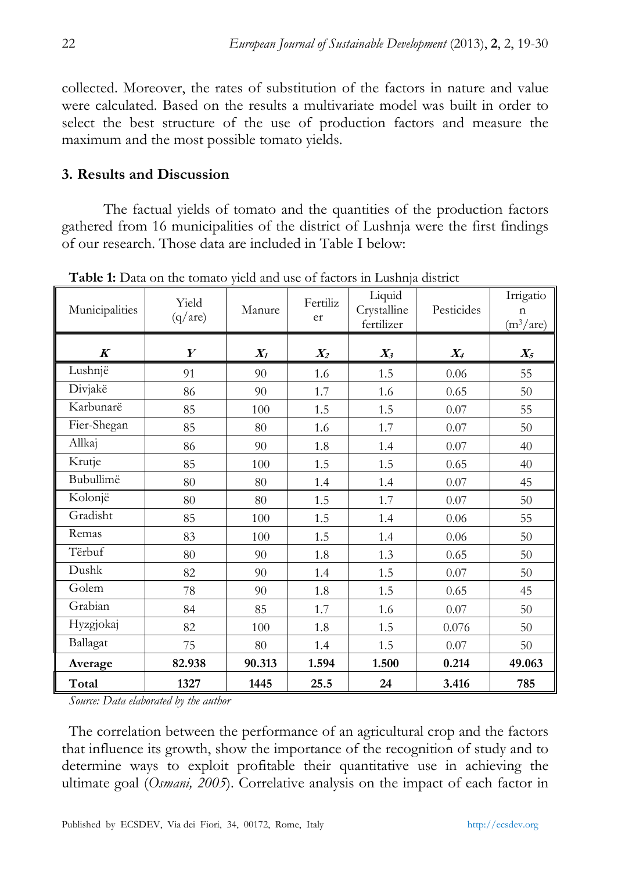collected. Moreover, the rates of substitution of the factors in nature and value were calculated. Based on the results a multivariate model was built in order to select the best structure of the use of production factors and measure the maximum and the most possible tomato yields.

# **3. Results and Discussion**

 The factual yields of tomato and the quantities of the production factors gathered from 16 municipalities of the district of Lushnja were the first findings of our research. Those data are included in Table I below:

| Municipalities   | Yield<br>(q/are) | Manure | Fertiliz<br>er | Liquid<br>Crystalline<br>fertilizer | Pesticides | Irrigatio<br>$\mathbf n$<br>$(m^3/are)$ |
|------------------|------------------|--------|----------------|-------------------------------------|------------|-----------------------------------------|
| $\boldsymbol{K}$ | Y                | $X_I$  | $X_2$          | $X_3$                               | $X_4$      | $X_5$                                   |
| Lushnjë          | 91               | 90     | 1.6            | 1.5                                 | 0.06       | 55                                      |
| Divjakë          | 86               | 90     | 1.7            | 1.6                                 | 0.65       | 50                                      |
| Karbunarë        | 85               | 100    | 1.5            | 1.5                                 | 0.07       | 55                                      |
| Fier-Shegan      | 85               | 80     | 1.6            | 1.7                                 | 0.07       | 50                                      |
| Allkaj           | 86               | 90     | 1.8            | 1.4                                 | 0.07       | 40                                      |
| Krutje           | 85               | 100    | 1.5            | 1.5                                 | 0.65       | 40                                      |
| Bubullimë        | 80               | 80     | 1.4            | 1.4                                 | 0.07       | 45                                      |
| Kolonjë          | 80               | 80     | 1.5            | 1.7                                 | 0.07       | 50                                      |
| Gradisht         | 85               | 100    | 1.5            | 1.4                                 | 0.06       | 55                                      |
| Remas            | 83               | 100    | 1.5            | 1.4                                 | 0.06       | 50                                      |
| Tërbuf           | 80               | 90     | 1.8            | 1.3                                 | 0.65       | 50                                      |
| Dushk            | 82               | 90     | 1.4            | 1.5                                 | 0.07       | 50                                      |
| Golem            | 78               | 90     | 1.8            | 1.5                                 | 0.65       | 45                                      |
| Grabian          | 84               | 85     | 1.7            | 1.6                                 | 0.07       | 50                                      |
| Hyzgjokaj        | 82               | 100    | 1.8            | 1.5                                 | 0.076      | 50                                      |
| Ballagat         | 75               | 80     | 1.4            | 1.5                                 | 0.07       | $50\,$                                  |
| Average          | 82.938           | 90.313 | 1.594          | 1.500                               | 0.214      | 49.063                                  |
| Total            | 1327             | 1445   | 25.5           | 24                                  | 3.416      | 785                                     |

**Table 1:** Data on the tomato yield and use of factors in Lushnja district

*Source: Data elaborated by the author* 

The correlation between the performance of an agricultural crop and the factors that influence its growth, show the importance of the recognition of study and to determine ways to exploit profitable their quantitative use in achieving the ultimate goal (*Osmani, 2005*). Correlative analysis on the impact of each factor in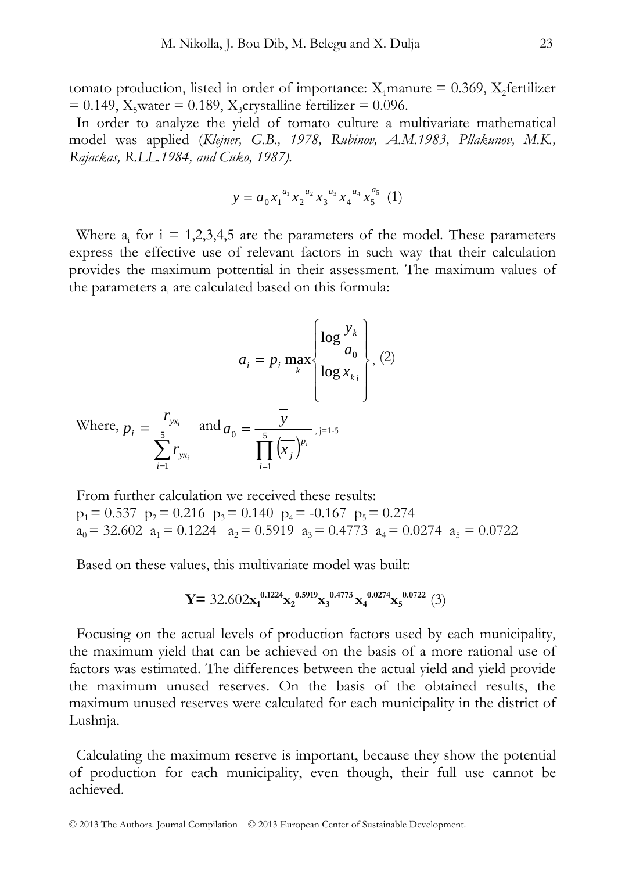tomato production, listed in order of importance:  $X_1$ manure = 0.369,  $X_2$ fertilizer  $= 0.149$ , X<sub>5</sub>water = 0.189, X<sub>3</sub>crystalline fertilizer = 0.096.

In order to analyze the yield of tomato culture a multivariate mathematical model was applied (*Klejner, G.B., 1978, Rubinov, A.M.1983, Pllakunov, M.K., Rajackas, R.LL.1984, and Cuko, 1987).* 

$$
y = a_0 x_1^{a_1} x_2^{a_2} x_3^{a_3} x_4^{a_4} x_5^{a_5} (1)
$$

Where  $a_i$  for  $i = 1,2,3,4,5$  are the parameters of the model. These parameters express the effective use of relevant factors in such way that their calculation provides the maximum pottential in their assessment. The maximum values of the parameters  $a_i$  are calculated based on this formula:

$$
a_{i} = p_{i} \max_{k} \left\{ \frac{\log \frac{y_{k}}{a_{0}}}{\log x_{k_{i}}} \right\}, (2)
$$
  
Where,  $p_{i} = \frac{r_{y_{x_{i}}}}{\sum_{i=1}^{5} r_{y_{x_{i}}}}$  and  $a_{0} = \frac{\overline{y}}{\prod_{i=1}^{5} (\overline{x_{j}})^{p_{i}}}, j=1.5$ 

From further calculation we received these results:  $p_1 = 0.537$   $p_2 = 0.216$   $p_3 = 0.140$   $p_4 = -0.167$   $p_5 = 0.274$  $a_0 = 32.602$   $a_1 = 0.1224$   $a_2 = 0.5919$   $a_3 = 0.4773$   $a_4 = 0.0274$   $a_5 = 0.0722$ 

Based on these values, this multivariate model was built:

$$
Y = 32.602x_1^{0.1224}x_2^{0.5919}x_3^{0.4773}x_4^{0.0274}x_5^{0.0722} (3)
$$

Focusing on the actual levels of production factors used by each municipality, the maximum yield that can be achieved on the basis of a more rational use of factors was estimated. The differences between the actual yield and yield provide the maximum unused reserves. On the basis of the obtained results, the maximum unused reserves were calculated for each municipality in the district of Lushnja.

Calculating the maximum reserve is important, because they show the potential of production for each municipality, even though, their full use cannot be achieved.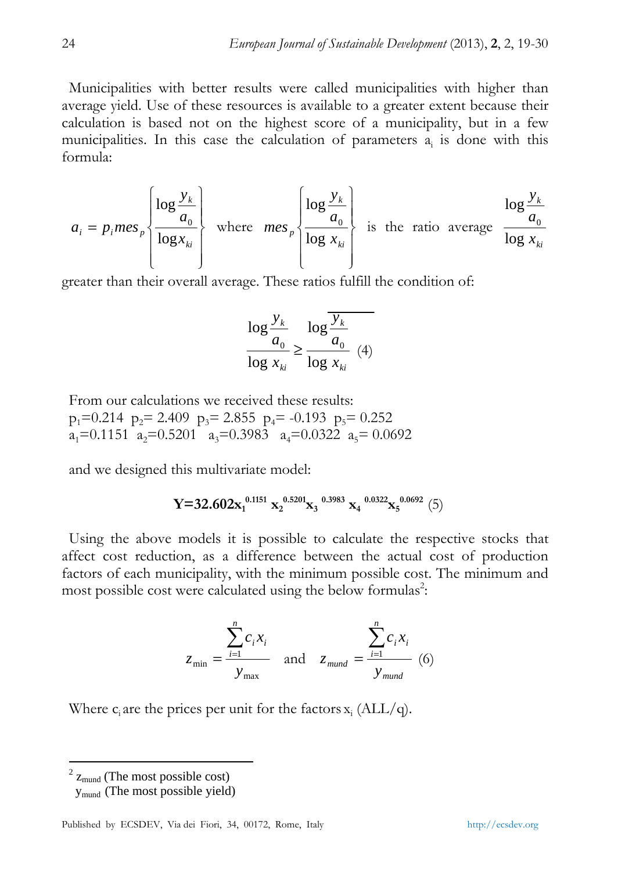Municipalities with better results were called municipalities with higher than average yield. Use of these resources is available to a greater extent because their calculation is based not on the highest score of a municipality, but in a few municipalities. In this case the calculation of parameters  $a_i$  is done with this formula:

$$
a_i = p_i m e_s \sqrt{\frac{\log \frac{y_k}{a_0}}{\log x_{ki}}}
$$
 where  $m e_s \sqrt{\frac{\log \frac{y_k}{a_0}}{\log x_{ki}}}$  is the ratio average  $\frac{\log \frac{y_k}{a_0}}{\log x_{ki}}$ 

greater than their overall average. These ratios fulfill the condition of:

$$
\frac{\log \frac{y_k}{a_0}}{\log x_{ki}} \ge \frac{\log \frac{y_k}{a_0}}{\log x_{ki}} \quad (4)
$$

From our calculations we received these results:  $p_1=0.214$   $p_2= 2.409$   $p_3= 2.855$   $p_4= -0.193$   $p_5= 0.252$  $a_1=0.1151$   $a_2=0.5201$   $a_3=0.3983$   $a_4=0.0322$   $a_5=0.0692$ 

and we designed this multivariate model:

$$
Y\text{=}32.602 x_1^{0.1151} \ x_2^{0.5201} x_3^{-0.3983} \ x_4^{-0.0322} x_5^{-0.0692} \ (5)
$$

Using the above models it is possible to calculate the respective stocks that affect cost reduction, as a difference between the actual cost of production factors of each municipality, with the minimum possible cost. The minimum and most possible cost were calculated using the below formulas<sup>2</sup>:

$$
z_{\min} = \frac{\sum_{i=1}^{n} c_i x_i}{y_{\max}} \quad \text{and} \quad z_{\text{mund}} = \frac{\sum_{i=1}^{n} c_i x_i}{y_{\text{mund}}}
$$
(6)

Where  $c_i$  are the prices per unit for the factors  $x_i$  (ALL/q).

 $2 \text{ Z}_{\text{mund}}$  (The most possible cost)

ymund (The most possible yield)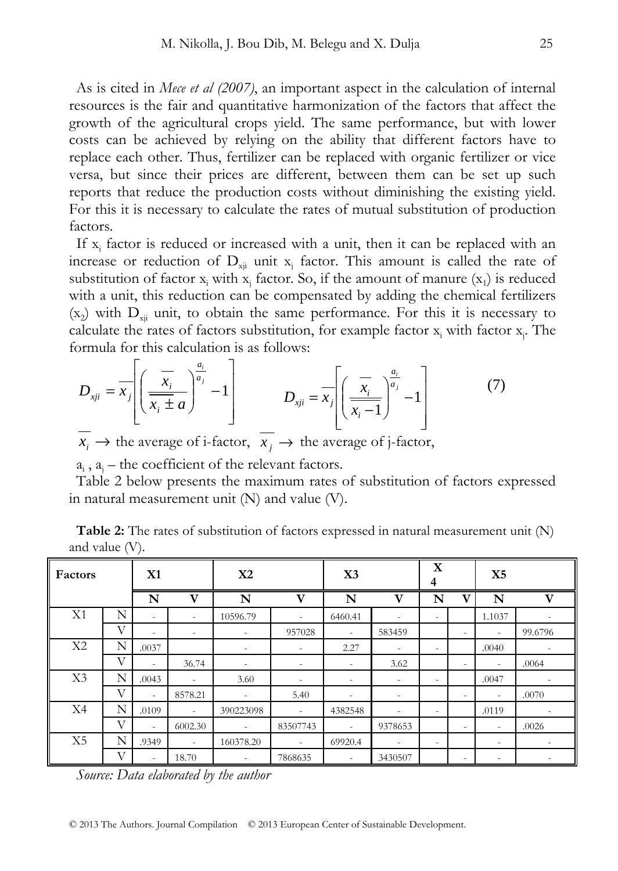As is cited in *Mece et al (2007)*, an important aspect in the calculation of internal resources is the fair and quantitative harmonization of the factors that affect the growth of the agricultural crops yield. The same performance, but with lower costs can be achieved by relying on the ability that different factors have to replace each other. Thus, fertilizer can be replaced with organic fertilizer or vice versa, but since their prices are different, between them can be set up such reports that reduce the production costs without diminishing the existing yield. For this it is necessary to calculate the rates of mutual substitution of production factors.

If  $x_i$  factor is reduced or increased with a unit, then it can be replaced with an increase or reduction of  $D_{xji}$  unit  $x_j$  factor. This amount is called the rate of substitution of factor  $x_i$  with  $x_j$  factor. So, if the amount of manure  $(x_1)$  is reduced with a unit, this reduction can be compensated by adding the chemical fertilizers  $(x_2)$  with  $D_{xii}$  unit, to obtain the same performance. For this it is necessary to calculate the rates of factors substitution, for example factor  $x_i$  with factor  $x_j$ . The formula for this calculation is as follows:

$$
D_{xji} = \overline{x}_j \left[ \left( \frac{\overline{x}_i}{\overline{x}_i \pm a} \right)^{\frac{a_i}{a_j}} - 1 \right] \qquad D_{xji} = \overline{x}_j \left[ \left( \frac{\overline{x}_i}{\overline{x}_i - 1} \right)^{\frac{a_i}{a_j}} - 1 \right] \qquad (7)
$$

 $x_i \rightarrow$  the average of i-factor,  $x_i \rightarrow$  the average of j-factor,

 $a_i$ ,  $a_j$  – the coefficient of the relevant factors.

Table 2 below presents the maximum rates of substitution of factors expressed in natural measurement unit (N) and value (V).

**Table 2:** The rates of substitution of factors expressed in natural measurement unit (N) and value (V).

| Factors        |   | X1                       |                          | X2                       |                          | X3                       |                          | $\mathbf X$<br>4         |                          | X <sub>5</sub>           |                          |
|----------------|---|--------------------------|--------------------------|--------------------------|--------------------------|--------------------------|--------------------------|--------------------------|--------------------------|--------------------------|--------------------------|
|                |   | N                        | V                        | N                        | $\mathbf{V}$             | N                        | $\mathbf{V}$             | N                        | $\mathbf{V}$             | N                        | $\mathbf{V}$             |
| X1             | N | $\overline{\phantom{a}}$ |                          | 10596.79                 | ٠                        | 6460.41                  | $\overline{\phantom{a}}$ | $\overline{\phantom{a}}$ |                          | 1.1037                   |                          |
|                | V | $\overline{\phantom{a}}$ | ٠                        | $\overline{\phantom{a}}$ | 957028                   | ٠                        | 583459                   |                          | $\overline{\phantom{a}}$ | $\overline{\phantom{a}}$ | 99.6796                  |
| X <sub>2</sub> | N | .0037                    |                          | $\overline{\phantom{a}}$ | $\overline{\phantom{a}}$ | 2.27                     | $\overline{\phantom{a}}$ | $\overline{\phantom{a}}$ |                          | .0040                    | $\overline{\phantom{a}}$ |
|                | V | $\overline{\phantom{a}}$ | 36.74                    | $\overline{\phantom{a}}$ | $\overline{\phantom{a}}$ | $\overline{\phantom{a}}$ | 3.62                     |                          | $\overline{\phantom{a}}$ | ٠                        | .0064                    |
| X3             | N | .0043                    | $\overline{\phantom{a}}$ | 3.60                     |                          | $\overline{\phantom{a}}$ | ۰.                       | $\overline{\phantom{a}}$ |                          | .0047                    | -                        |
|                | V | $\overline{\phantom{a}}$ | 8578.21                  | $\sim$                   | 5.40                     | ۰                        | $\overline{\phantom{a}}$ |                          | $\overline{\phantom{a}}$ | $\overline{\phantom{a}}$ | .0070                    |
| X4             | N | .0109                    |                          | 390223098                | $\overline{\phantom{a}}$ | 4382548                  | $\overline{\phantom{a}}$ | $\overline{\phantom{a}}$ |                          | .0119                    |                          |
|                | V | $\overline{\phantom{a}}$ | 6002.30                  | $\overline{\phantom{a}}$ | 83507743                 | $\overline{\phantom{a}}$ | 9378653                  |                          | $\overline{\phantom{a}}$ | $\overline{\phantom{a}}$ | .0026                    |
| X <sub>5</sub> | N | .9349                    | $\overline{\phantom{a}}$ | 160378.20                | $\overline{\phantom{a}}$ | 69920.4                  | $\overline{\phantom{a}}$ | $\overline{\phantom{a}}$ |                          | $\overline{\phantom{a}}$ | ۰                        |
|                | V | $\overline{\phantom{a}}$ | 18.70                    | $\overline{\phantom{a}}$ | 7868635                  | ۰                        | 3430507                  |                          | $\overline{\phantom{a}}$ | $\overline{\phantom{a}}$ |                          |

*Source: Data elaborated by the author*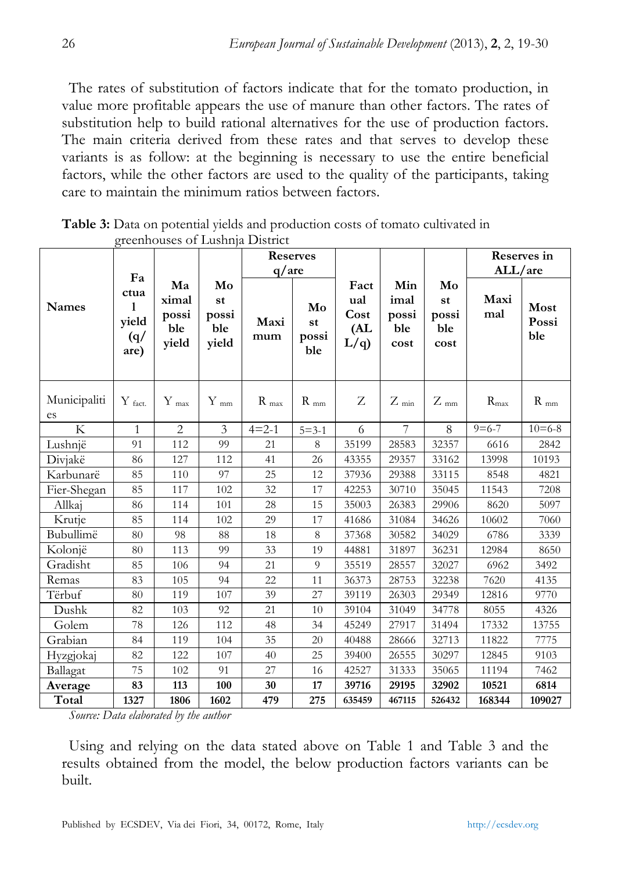The rates of substitution of factors indicate that for the tomato production, in value more profitable appears the use of manure than other factors. The rates of substitution help to build rational alternatives for the use of production factors. The main criteria derived from these rates and that serves to develop these variants is as follow: at the beginning is necessary to use the entire beneficial factors, while the other factors are used to the quality of the participants, taking care to maintain the minimum ratios between factors.

|                    |                                   |                                      |                                   | <b>Reserves</b> |                          |                                   |                                     |                                  |                  | Reserves in          |
|--------------------|-----------------------------------|--------------------------------------|-----------------------------------|-----------------|--------------------------|-----------------------------------|-------------------------------------|----------------------------------|------------------|----------------------|
|                    | Fa                                |                                      |                                   | q/are           |                          |                                   |                                     |                                  | ALL/are          |                      |
| <b>Names</b>       | ctua<br>1<br>yield<br>(q)<br>are) | Ma<br>ximal<br>possi<br>ble<br>yield | Mo<br>st<br>possi<br>ble<br>yield | Maxi<br>mum     | Mo<br>st<br>possi<br>ble | Fact<br>ual<br>Cost<br>(AL<br>L/q | Min<br>imal<br>possi<br>ble<br>cost | Mo<br>st<br>possi<br>ble<br>cost | Maxi<br>mal      | Most<br>Possi<br>ble |
| Municipaliti<br>es | $Y$ fact.                         | $Y_{\text{max}}$                     | $Y_{mm}$                          | $R_{max}$       | $R_{mm}$                 | Z                                 | $Z_{\min}$                          | $Z_{mm}$                         | $R_{\text{max}}$ | $R_{mm}$             |
| K                  | $\mathbf{1}$                      | 2                                    | 3                                 | $4 = 2 - 1$     | $5 = 3 - 1$              | 6                                 | 7                                   | 8                                | $9 = 6 - 7$      | $10 = 6 - 8$         |
| Lushnjë            | 91                                | 112                                  | 99                                | 21              | 8                        | 35199                             | 28583                               | 32357                            | 6616             | 2842                 |
| Divjakë            | 86                                | 127                                  | 112                               | 41              | 26                       | 43355                             | 29357                               | 33162                            | 13998            | 10193                |
| Karbunarë          | 85                                | 110                                  | 97                                | 25              | 12                       | 37936                             | 29388                               | 33115                            | 8548             | 4821                 |
| Fier-Shegan        | 85                                | 117                                  | 102                               | 32              | 17                       | 42253                             | 30710                               | 35045                            | 11543            | 7208                 |
| Allkaj             | 86                                | 114                                  | 101                               | 28              | 15                       | 35003                             | 26383                               | 29906                            | 8620             | 5097                 |
| Krutje             | 85                                | 114                                  | 102                               | 29              | 17                       | 41686                             | 31084                               | 34626                            | 10602            | 7060                 |
| Bubullimë          | 80                                | 98                                   | 88                                | 18              | 8                        | 37368                             | 30582                               | 34029                            | 6786             | 3339                 |
| Kolonjë            | 80                                | 113                                  | 99                                | 33              | 19                       | 44881                             | 31897                               | 36231                            | 12984            | 8650                 |
| Gradisht           | 85                                | 106                                  | 94                                | 21              | 9                        | 35519                             | 28557                               | 32027                            | 6962             | 3492                 |
| Remas              | 83                                | 105                                  | 94                                | 22              | 11                       | 36373                             | 28753                               | 32238                            | 7620             | 4135                 |
| Tërbuf             | 80                                | 119                                  | 107                               | 39              | 27                       | 39119                             | 26303                               | 29349                            | 12816            | 9770                 |
| Dushk              | 82                                | 103                                  | 92                                | 21              | 10                       | 39104                             | 31049                               | 34778                            | 8055             | 4326                 |
| Golem              | 78                                | 126                                  | 112                               | 48              | 34                       | 45249                             | 27917                               | 31494                            | 17332            | 13755                |
| Grabian            | 84                                | 119                                  | 104                               | 35              | 20                       | 40488                             | 28666                               | 32713                            | 11822            | 7775                 |
| Hyzgjokaj          | 82                                | 122                                  | 107                               | 40              | 25                       | 39400                             | 26555                               | 30297                            | 12845            | 9103                 |
| Ballagat           | 75                                | 102                                  | 91                                | 27              | 16                       | 42527                             | 31333                               | 35065                            | 11194            | 7462                 |
| Average            | 83                                | 113                                  | 100                               | 30              | 17                       | 39716                             | 29195                               | 32902                            | 10521            | 6814                 |
| Total              | 1327                              | 1806                                 | 1602                              | 479             | 275                      | 635459                            | 467115                              | 526432                           | 168344           | 109027               |

Table 3: Data on potential yields and production costs of tomato cultivated in greenhouses of Lushnia District

Source: Data elaborated by the author

Using and relying on the data stated above on Table 1 and Table 3 and the results obtained from the model, the below production factors variants can be built.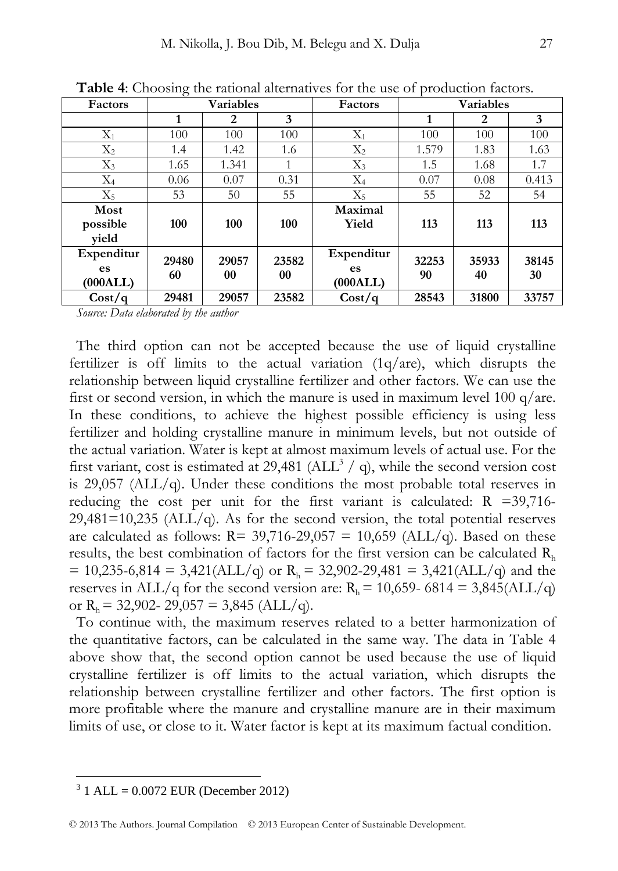| Factors    | <b>Variables</b> |       |       | Factors    | <b>Variables</b> |       |       |
|------------|------------------|-------|-------|------------|------------------|-------|-------|
|            | 1                | 2     | 3     |            | 1                | 2     | 3     |
| $X_1$      | 100              | 100   | 100   | $X_1$      | 100              | 100   | 100   |
| $X_2$      | 1.4              | 1.42  | 1.6   | $X_2$      | 1.579            | 1.83  | 1.63  |
| $X_3$      | 1.65             | 1.341 |       | $X_3$      | 1.5              | 1.68  | 1.7   |
| $\rm X_4$  | 0.06             | 0.07  | 0.31  | $X_4$      | 0.07             | 0.08  | 0.413 |
| $X_5$      | 53               | 50    | 55    | $X_5$      | 55               | 52    | 54    |
| Most       |                  |       |       | Maximal    |                  |       |       |
| possible   | 100              | 100   | 100   | Yield      | 113              | 113   | 113   |
| vield      |                  |       |       |            |                  |       |       |
| Expenditur | 29480            | 29057 | 23582 | Expenditur | 32253            | 35933 | 38145 |
| es         |                  |       |       | es         |                  |       |       |
| (000ALL)   | 60               | 00    | 00    | (000ALL)   | 90               | 40    | 30    |
| Cost/a     | 29481            | 29057 | 23582 | Cost/a     | 28543            | 31800 | 33757 |

**Table 4**: Choosing the rational alternatives for the use of production factors.

*Source: Data elaborated by the author* 

The third option can not be accepted because the use of liquid crystalline fertilizer is off limits to the actual variation (1q/are), which disrupts the relationship between liquid crystalline fertilizer and other factors. We can use the first or second version, in which the manure is used in maximum level 100 q/are. In these conditions, to achieve the highest possible efficiency is using less fertilizer and holding crystalline manure in minimum levels, but not outside of the actual variation. Water is kept at almost maximum levels of actual use. For the first variant, cost is estimated at 29,481 ( $ALL<sup>3</sup> / q$ ), while the second version cost is 29,057 (ALL/q). Under these conditions the most probable total reserves in reducing the cost per unit for the first variant is calculated:  $R = 39,716$ - $29,481=10,235$  (ALL/q). As for the second version, the total potential reserves are calculated as follows:  $R = 39,716-29,057 = 10,659$  (ALL/q). Based on these results, the best combination of factors for the first version can be calculated  $R<sub>h</sub>$  $= 10,235-6,814 = 3,421(ALL/q)$  or  $R<sub>h</sub> = 32,902-29,481 = 3,421(ALL/q)$  and the reserves in ALL/q for the second version are:  $R_h = 10,659 - 6814 = 3,845(ALL/q)$ or  $R_h = 32,902 - 29,057 = 3,845$  (ALL/q).

To continue with, the maximum reserves related to a better harmonization of the quantitative factors, can be calculated in the same way. The data in Table 4 above show that, the second option cannot be used because the use of liquid crystalline fertilizer is off limits to the actual variation, which disrupts the relationship between crystalline fertilizer and other factors. The first option is more profitable where the manure and crystalline manure are in their maximum limits of use, or close to it. Water factor is kept at its maximum factual condition.

 $\overline{a}$ 

 $3 \text{ } 1 \text{ ALL} = 0.0072 \text{ EUR}$  (December 2012)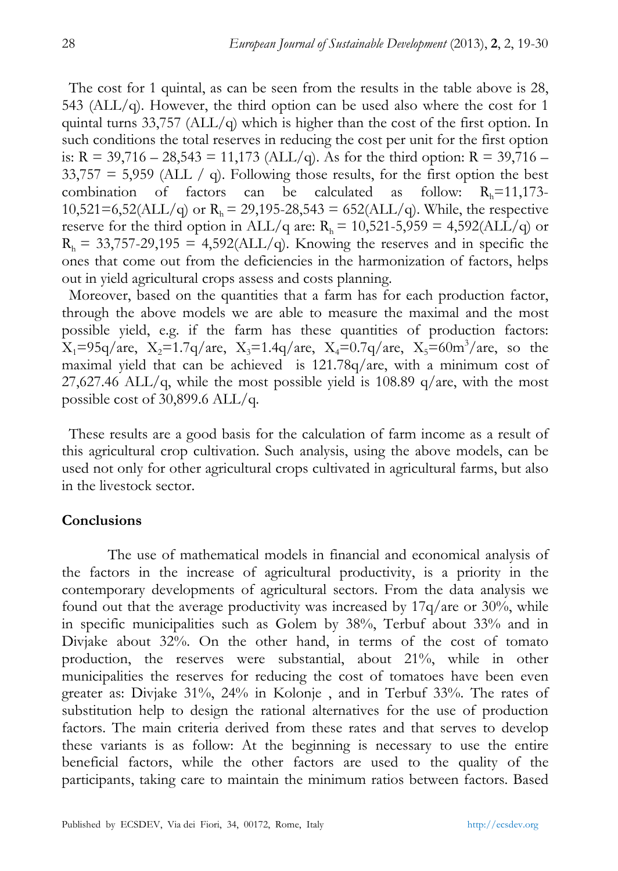The cost for 1 quintal, as can be seen from the results in the table above is 28, 543 ( $ALL/q$ ). However, the third option can be used also where the cost for 1 quintal turns 33,757 ( $ALL/q$ ) which is higher than the cost of the first option. In such conditions the total reserves in reducing the cost per unit for the first option is:  $R = 39,716 - 28,543 = 11,173$  (ALL/q). As for the third option:  $R = 39,716 33,757 = 5,959$  (ALL  $\big/$  q). Following those results, for the first option the best combination of factors can be calculated as follow:  $R_h=11,173-$ 10,521=6,52(ALL/q) or  $R_h = 29,195-28,543 = 652(ALL/q)$ . While, the respective reserve for the third option in ALL/q are:  $R_h = 10,521-5,959 = 4,592(ALL/q)$  or  $R_h = 33,757-29,195 = 4,592(ALL/q)$ . Knowing the reserves and in specific the ones that come out from the deficiencies in the harmonization of factors, helps out in yield agricultural crops assess and costs planning.

Moreover, based on the quantities that a farm has for each production factor, through the above models we are able to measure the maximal and the most possible yield, e.g. if the farm has these quantities of production factors:  $X_1 = 95q/$ are,  $X_2 = 1.7q/$ are,  $X_3 = 1.4q/$ are,  $X_4 = 0.7q/$ are,  $X_5 = 60m^3/$ are, so the maximal yield that can be achieved is 121.78q/are, with a minimum cost of 27,627.46 ALL/q, while the most possible yield is 108.89 q/are, with the most possible cost of 30,899.6 ALL/q.

These results are a good basis for the calculation of farm income as a result of this agricultural crop cultivation. Such analysis, using the above models, can be used not only for other agricultural crops cultivated in agricultural farms, but also in the livestock sector.

# **Conclusions**

The use of mathematical models in financial and economical analysis of the factors in the increase of agricultural productivity, is a priority in the contemporary developments of agricultural sectors. From the data analysis we found out that the average productivity was increased by 17q/are or 30%, while in specific municipalities such as Golem by 38%, Terbuf about 33% and in Divjake about 32%. On the other hand, in terms of the cost of tomato production, the reserves were substantial, about 21%, while in other municipalities the reserves for reducing the cost of tomatoes have been even greater as: Divjake 31%, 24% in Kolonje , and in Terbuf 33%. The rates of substitution help to design the rational alternatives for the use of production factors. The main criteria derived from these rates and that serves to develop these variants is as follow: At the beginning is necessary to use the entire beneficial factors, while the other factors are used to the quality of the participants, taking care to maintain the minimum ratios between factors. Based